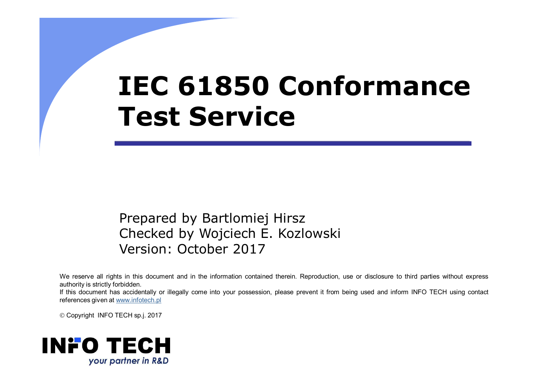# **IEC 61850 Conformance Test Service**

Prepared by Bartlomiej Hirsz Checked by Wojciech E. Kozlowski Version: October <sup>2017</sup>

We reserve all rights in this document and in the information contained therein. Reproduction, use or disclosure to third parties without express authority is strictly forbidden.

If this document has accidentally or illegally come into your possession, please prevent it from being used and inform INFO TECH using contact references given at www.infotech.pl

Copyright INFO TECH sp.j. <sup>2017</sup>

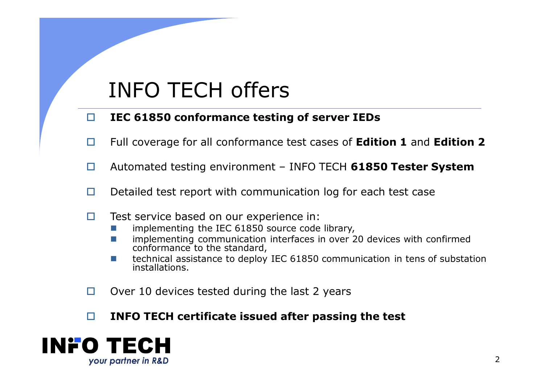# INFO TECH offers

#### $\Box$ **IEC 61850 conformance testing of server IEDs**

- $\Box$ Full coverage for all conformance test cases of **Edition 1** and **Edition 2**
- $\Box$ Automated testing environment – INFO TECH **61850 Tester System**
- $\Box$ Detailed test report with communication log for each test case
- $\Box$  Test service based on our experience in:
	- implementing the IEC 61850 source code library,
	- implementing communication interfaces in over 20 devices with confirmed conformance to the standard,
	- technical assistance to deploy IEC 61850 communication in tens of substation installations.
- $\Box$ Over <sup>10</sup> devices tested during the last 2 years
- $\Box$ **INFO TECH certificate issued after passing the test**

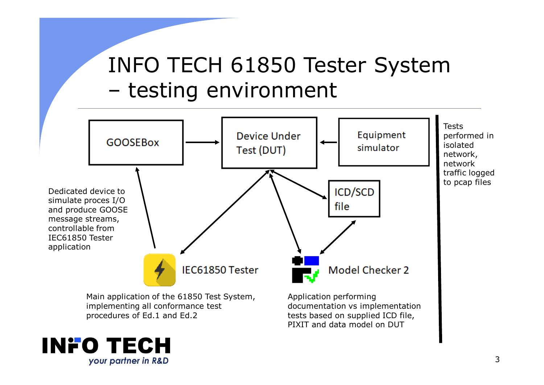# INFO TECH 61850 Tester Systemtesting environment



PIXIT and data model on DUT

procedures of Ed.1 and Ed.2

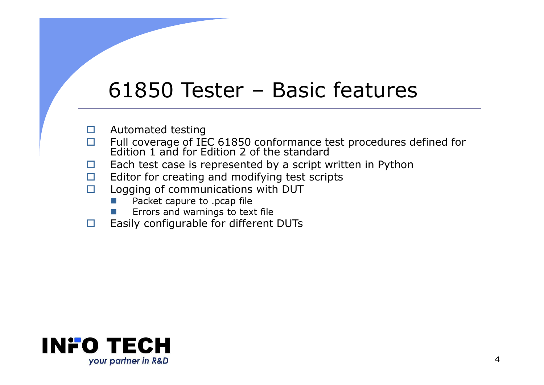# 61850 Tester – Basic features

- $\Box$ Automated testing
- $\Box$ Full coverage of IEC 61850 conformance test procedures defined for Edition 1 and for Edition 2 of the standard
- □ Each test case is represented by a script written in Python<br>□ Editor for creating and modifying test scripts  $\Box$
- $\Box$ Editor for creating and modifying test scripts
- $\Box$  Logging of communications with DUT
	- -Packet capure to .pcap file
	- -Errors and warnings to text file
- $\Box$ Easily configurable for different DUTs

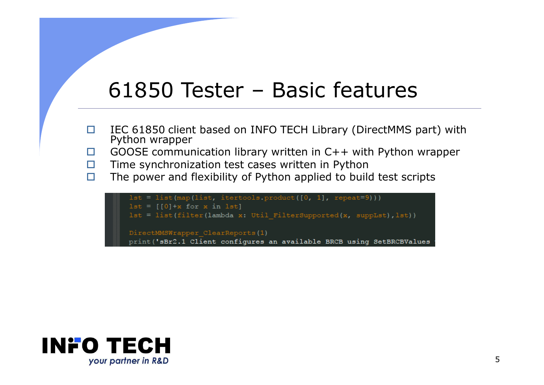# 61850 Tester – Basic features

- $\Box$ IEC 61850 client based on INFO TECH Library (DirectMMS part) with Python wrapper
- □ GOOSE communication library written in C++ with Python wrapper  $\Box$
- $\Box$ Time synchronization test cases written in Python
- $\Box$ The power and flexibility of Python applied to build test scripts

```
lst = list(map(list, itertools-product([0, 1], repeat=9)))lst = [[0]*x for x in 1st]lst = list(filter(lambda x: Util FilterSupported(x, suppLst), lst))
DirectMMSWrapper ClearReports(1)
print ('sBr2.1 Client configures an available BRCB using SetBRCBValues
```
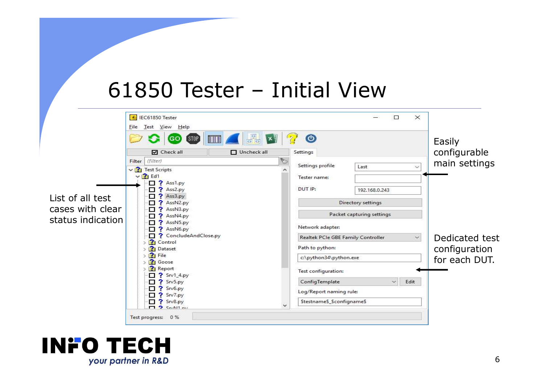# 61850 Tester – Initial View



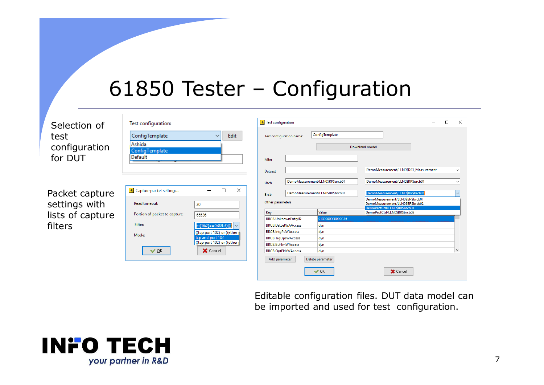### 61850 Tester – Configuration

| Selection of<br>test<br>configuration<br>for DUT               | Test configuration:<br>ConfigTemplate<br>Ashida<br>ConfigTemplate<br>Default                               | Edit                                                                                                                                                                  | $\left\lceil \frac{1}{2} \right\rceil$ Test configuration<br>Test configuration name:<br>Filter<br>Dataset                                                                                                                        | ConfigTemplate<br>DemoMeasurement/LLN0\$RP\$urcb01                                                                                | Download model<br>DemoMeasurement/LLN0\$DS1 Measurement<br>DemoMeasurement/LLN0\$RP\$urcb01                                                                                                   | $\Box$<br>$\checkmark$                  | $\times$ |
|----------------------------------------------------------------|------------------------------------------------------------------------------------------------------------|-----------------------------------------------------------------------------------------------------------------------------------------------------------------------|-----------------------------------------------------------------------------------------------------------------------------------------------------------------------------------------------------------------------------------|-----------------------------------------------------------------------------------------------------------------------------------|-----------------------------------------------------------------------------------------------------------------------------------------------------------------------------------------------|-----------------------------------------|----------|
| Packet capture<br>settings with<br>lists of capture<br>filters | Capture packet settings<br>Read timeout:<br>Portion of packet to capture:<br>Filter:<br>Mode:<br>$\vee$ QK | $\Box$<br>$\times$<br>20<br>65536<br>$er[16:2] = -0x88b8))$<br>lv.<br>((tcp port 102) or ((ether<br>tcp and port 102<br>((tcp port 102) or ((ether<br><b>X</b> Cancel | Urcb<br><b>Brcb</b><br>Other parameters<br>Key<br>BRCB.UnknownEntryID<br><b>BRCB.DatSetWAAccess</b><br><b>BRCB.IntgPdWAccess</b><br>BRCB.TrgOpsWAccess<br><b>BRCB.BufTmWAccess</b><br><b>BRCB.OptFldsWAccess</b><br>Add parameter | DemoMeasurement/LLN0\$BR\$brcb01<br>Value<br>0100000000000C36<br>dyn<br>dyn<br>dyn<br>dyn<br>dyn<br>Delete parameter<br>$\vee$ QK | DemoMeasurement/LLN0\$BR\$brcb01<br>DemoMeasurement/LLN0\$BR\$brcb01<br>DemoMeasurement/LLN0\$BR\$brcb02<br>DemoProtCtrl/LLN0\$BR\$brcb01<br>DemoProtCtrl/LLN0\$BR\$brcb02<br><b>X</b> Cancel | $\checkmark$<br>$\vert \vee \vert$<br>v |          |

Editable configuration files. DUT data model can be imported and used for test configuration.

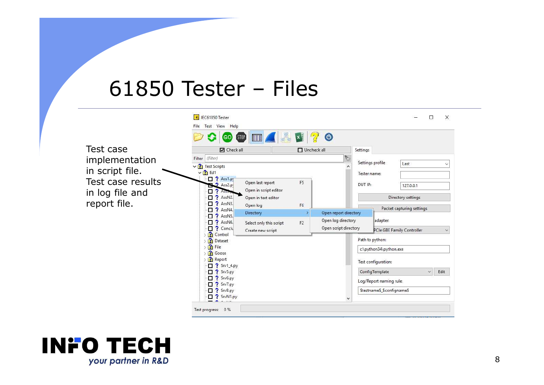# 61850 Tester – Files



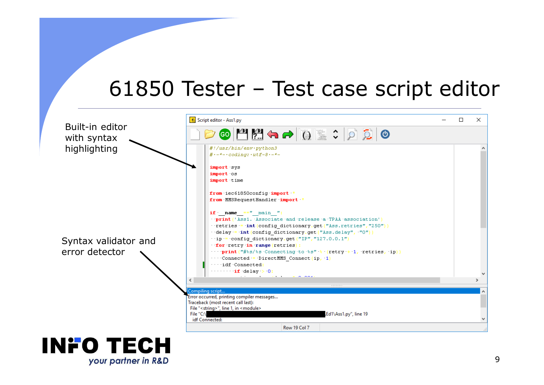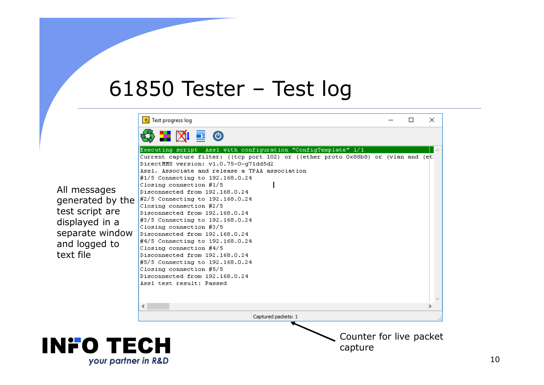#### 61850 Tester – Test log

|                     | $\left[\begin{smallmatrix}\phi\\ \phi\end{smallmatrix}\right]$ Test progress log                                            |  | $\times$ |
|---------------------|-----------------------------------------------------------------------------------------------------------------------------|--|----------|
|                     | 53 H XI E O                                                                                                                 |  |          |
|                     | Executing script Ass1 with configuration "ConfigTemplate" 1/1                                                               |  |          |
|                     | Current capture filter: ((tcp port 102) or ((ether proto 0x88b8) or (vlan and (et)<br>DirectMMS version: v1.0.75-0-g71dd5d2 |  |          |
|                     | Ass1. Associate and release a TPAA association                                                                              |  |          |
|                     | #1/5 Connecting to 192.168.0.24                                                                                             |  |          |
| All messages        | Closing connection #1/5<br>Disconnected from 192.168.0.24                                                                   |  |          |
| generated by the    | #2/5 Connecting to 192.168.0.24                                                                                             |  |          |
|                     | Closing connection #2/5                                                                                                     |  |          |
| test script are     | Disconnected from 192.168.0.24                                                                                              |  |          |
| displayed in a      | #3/5 Connecting to 192.168.0.24<br>Closing connection #3/5                                                                  |  |          |
| separate window     | Disconnected from 192.168.0.24                                                                                              |  |          |
| and logged to       | #4/5 Connecting to 192.168.0.24                                                                                             |  |          |
| text file           | Closing connection #4/5<br>Disconnected from 192.168.0.24                                                                   |  |          |
|                     | #5/5 Connecting to 192.168.0.24                                                                                             |  |          |
|                     | Closing connection #5/5                                                                                                     |  |          |
|                     | Disconnected from 192.168.0.24                                                                                              |  |          |
|                     | Ass1 test result: Passed                                                                                                    |  |          |
|                     |                                                                                                                             |  |          |
|                     | ∢                                                                                                                           |  |          |
|                     | Captured packets: 1                                                                                                         |  |          |
|                     |                                                                                                                             |  |          |
|                     | Counter for live packet                                                                                                     |  |          |
| INFO TECH           | capture                                                                                                                     |  |          |
|                     |                                                                                                                             |  |          |
| your partner in R&D |                                                                                                                             |  |          |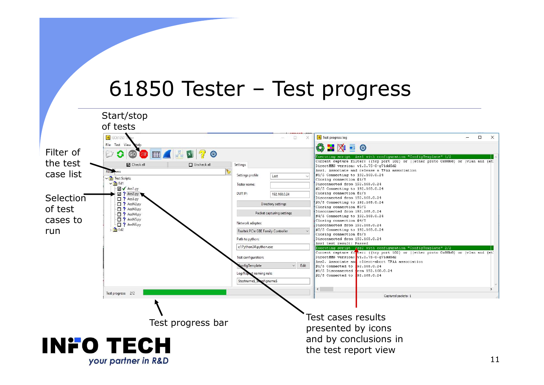#### 61850 Tester – Test progress

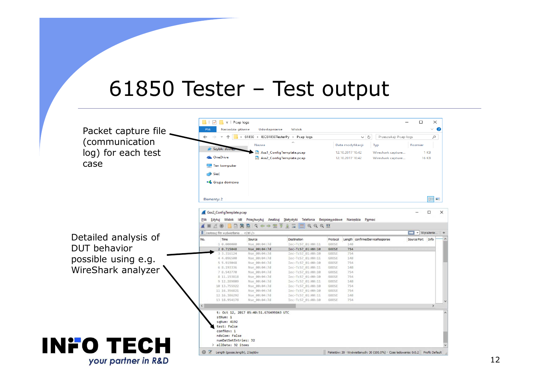#### 61850 Tester – Test output

Udostępnianie

 $\therefore$   $\uparrow$   $\qquad$   $\rightarrow$  61850 > IEC61850TesterPy > Pcap logs

Nazwa

Widok

 $\Box$   $\Box$   $\Box$   $\neq$  | Pcap logs

 $\leftarrow$   $\rightarrow$ 

Narzedzia główne

Packet capture file (communicationlog) for each test<br>case case

Detailed analysis of DUT behaviorpossible using e.g.<br>WireShark analyzer WireShark analyzer

**INFO TECH** 

your partner in R&D

|                          | <b>PEAN MOSTER</b>                          |                                        | Ass1_ConfigTemplate.pcap                                                                 |              | 12.10.2017 10:42 | Wireshark capture               |                              | 1 KB         |
|--------------------------|---------------------------------------------|----------------------------------------|------------------------------------------------------------------------------------------|--------------|------------------|---------------------------------|------------------------------|--------------|
|                          | <b>C</b> OneDrive                           |                                        | Ass2_ConfigTemplate.pcap                                                                 |              | 12.10.2017 10:42 | Wireshark capture               |                              | <b>16 KB</b> |
|                          | Ten komputer                                |                                        |                                                                                          |              |                  |                                 |                              |              |
|                          | Sieć                                        |                                        |                                                                                          |              |                  |                                 |                              |              |
|                          |                                             |                                        |                                                                                          |              |                  |                                 |                              |              |
|                          | • Grupa domowa                              |                                        |                                                                                          |              |                  |                                 |                              |              |
|                          |                                             |                                        |                                                                                          |              |                  |                                 |                              |              |
|                          |                                             |                                        |                                                                                          |              |                  |                                 |                              |              |
|                          | Elementy: 2                                 |                                        |                                                                                          |              |                  |                                 |                              | 胆目           |
|                          |                                             |                                        |                                                                                          |              |                  |                                 |                              |              |
|                          | Gos2_ConfigTemplate.pcap                    |                                        |                                                                                          |              |                  |                                 |                              | □            |
| Plik                     |                                             |                                        | Edytuj Widok Idź Przechwytuj Analizuj Statystyki Telefonia Bezprzewodowe Narzędzia Pomoc |              |                  |                                 |                              |              |
|                          | $\circ$ $\circ$                             | <b>MXCQQOQT</b>                        | $\sqrt{3}$ , $\frac{1}{2}$ , $\frac{1}{2}$<br>$Q$ $Q$ $Q$ $H$                            |              |                  |                                 |                              |              |
|                          | Zastosuj filtr wyświetlania <ctrl-></ctrl-> |                                        |                                                                                          |              |                  |                                 | $\rightarrow$<br>- Wyrażenie |              |
| No.                      | Time                                        | Source                                 | Destination                                                                              | Protocol     |                  | Length confirmedServiceResponse | Source Port                  | Info         |
|                          | 1 0.000000                                  | Nse 00:04:7d                           | Iec-Tc57 01:00:11                                                                        | GOOSE        | 148              |                                 |                              |              |
|                          | 2 0.715048                                  | Nse 00:04:7d                           | Iec-Tc57 01:00:10                                                                        | GOOSE        | 754              |                                 |                              |              |
|                          | 3 3.316124                                  | Nse 00:04:7d                           | Iec-Tc57 01:00:10                                                                        | GOOSE        | 754              |                                 |                              |              |
|                          | 44.096500                                   | Nse_00:04:7d                           | Iec-Tc57 01:00:11                                                                        | GOOSE        | 148              |                                 |                              |              |
|                          | 5 5.919048                                  | Nse 00:04:7d                           | Iec-Tc57 01:00:10                                                                        | GOOSE        | 754              |                                 |                              |              |
|                          | 6 8.193336                                  | Nse 00:04:7d                           | Iec-Tc57 01:00:11                                                                        | <b>GOOSE</b> | 148              |                                 |                              |              |
|                          | 7 8.543770                                  | Nse 00:04:7d                           | Iec-Tc57 01:00:10                                                                        | GOOSE        | 754              |                                 |                              |              |
|                          | 8 11.153818                                 | Nse_00:04:7d                           | Iec-Tc57 01:00:10                                                                        | GOOSE        | 754              |                                 |                              |              |
|                          | 9 12.289809                                 | Nse 00:04:7d                           | Iec-Tc57 01:00:11                                                                        | GOOSE        | 148              |                                 |                              |              |
|                          | 10 13.755922                                | Nse 00:04:7d                           | Iec-Tc57 01:00:10                                                                        | GOOSE        | 754              |                                 |                              |              |
|                          | 11 16.356821                                | Nse 00:04:7d                           | Iec-Tc57 01:00:10                                                                        | GOOSE        | 754              |                                 |                              |              |
|                          | 12 16.386292                                | Nse 00:04:7d                           | Iec-Tc57 01:00:11                                                                        | GOOSE        | 148              |                                 |                              |              |
|                          | 13 18.954178                                | Nse 00:04:7d                           | Iec-Tc57_01:00:10                                                                        | GOOSE        | 754              |                                 |                              |              |
|                          |                                             |                                        |                                                                                          |              |                  |                                 |                              |              |
| $\overline{\phantom{a}}$ |                                             | t: Oct 12, 2017 05:40:51.676499843 UTC |                                                                                          |              |                  |                                 |                              |              |
|                          |                                             |                                        |                                                                                          |              |                  |                                 |                              |              |
|                          | stNum: 1                                    |                                        |                                                                                          |              |                  |                                 |                              |              |
|                          | sqNum: 4192                                 |                                        |                                                                                          |              |                  |                                 |                              |              |
|                          | test: False                                 |                                        |                                                                                          |              |                  |                                 |                              |              |
|                          | confRev: 1                                  |                                        |                                                                                          |              |                  |                                 |                              |              |
|                          | ndsCom: False                               |                                        |                                                                                          |              |                  |                                 |                              |              |
|                          | numDatSetEntries: 32                        |                                        |                                                                                          |              |                  |                                 |                              |              |
|                          | > allData: 32 items                         |                                        |                                                                                          |              |                  |                                 |                              |              |



 $\Box$ 

Rozmiar

V 라 Przeszukaj: Pcap logs

Data modyfikacji Typ

 $\times$ 

 $\sim$   $\bullet$ 

 $\mathcal{L}$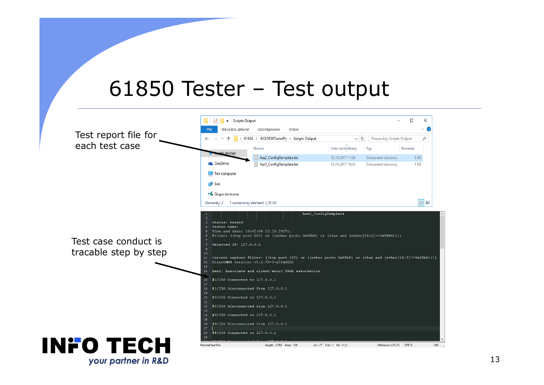#### 61850 Tester – Test output

Udostepnianie

> 61850 > IEC61850TesterPy > Scripts Output

Widol

 $\Box$   $\Box$   $\Box$   $\equiv$  Scripts Output

Narzedzia główne

Test report file for each test case

Test case conduct is tracable step by step



 $\Box$ 

Przeszukaj: Scripts Output

 $\vee$  0

 $\times$ 

 $\vee$   $\sqrt{2}$ 

م

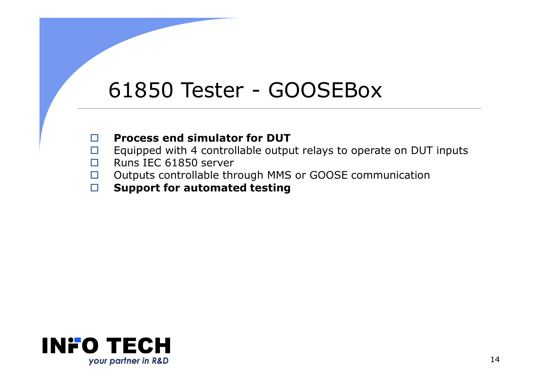# 61850 Tester - GOOSEBox

- $\Box$ **Process end simulator for DUT**
- $\Box$ Equipped with 4 controllable output relays to operate on DUT inputs
- $\Box$ □ Runs IEC 61850 server<br>□ Outputs controllable th
- $\Box$ □ Outputs controllable through MMS or GOOSE communication<br>□ Sunnort for automated testing
- $\Box$ **Support for automated testing**

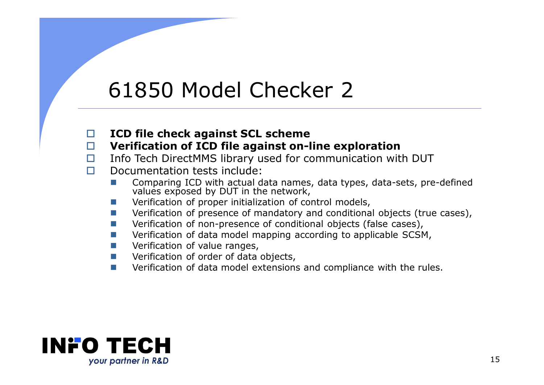## 61850 Model Checker 2

 $\Box$ **ICD file check against SCL scheme**

#### $\Box$ **Verification of ICD file against on-line exploration**

- $\Box$ Info Tech DirectMMS library used for communication with DUT
- $\Box$  Documentation tests include:
	- -Comparing ICD with actual data names, data types, data-sets, pre-defined values exposed by DUT in the network,
	- -Verification of proper initialization of control models,
	- -Verification of presence of mandatory and conditional objects (true cases),
	- -Verification of non-presence of conditional objects (false cases),
	- -Verification of data model mapping according to applicable SCSM,
	- -Verification of value ranges,
	- -Verification of order of data objects,
	- -Verification of data model extensions and compliance with the rules.

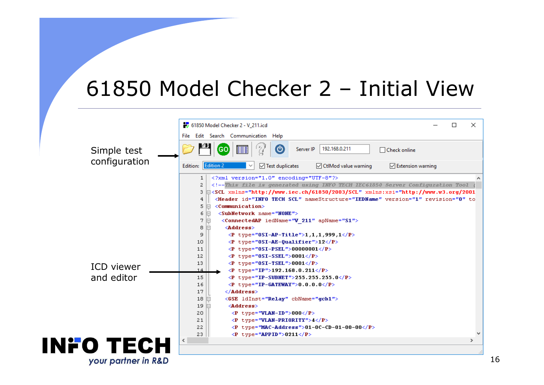### 61850 Model Checker 2 – Initial View

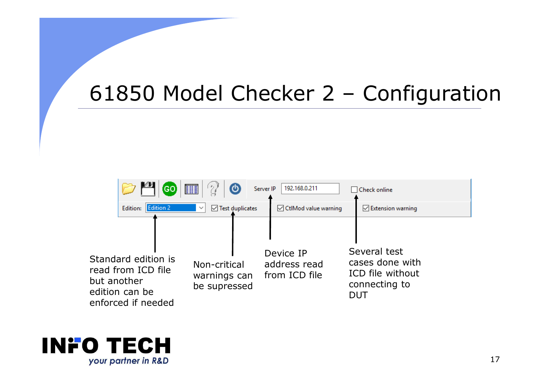# 61850 Model Checker 2 – Configuration



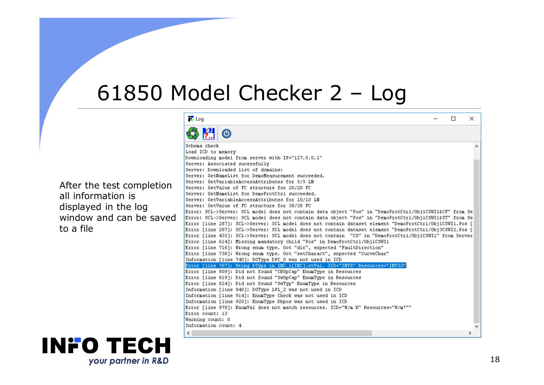# 61850 Model Checker 2 - Log

After the test completion all information is displayed in the log window and can be saved to a file



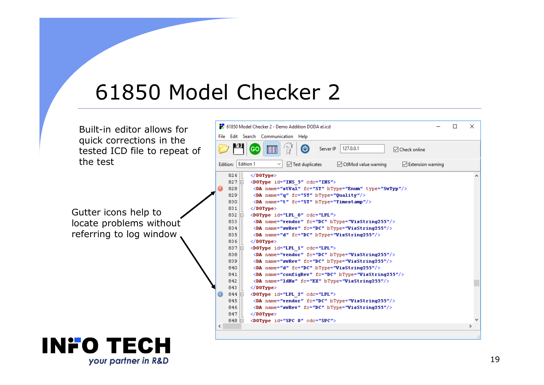### 61850 Model Checker 2

Built-in editor allows for quick corrections in the tested ICD file to repeat of the test

Gutter icons help to locate problems without referring to log window

#### **INFO TECH** your partner in R&D

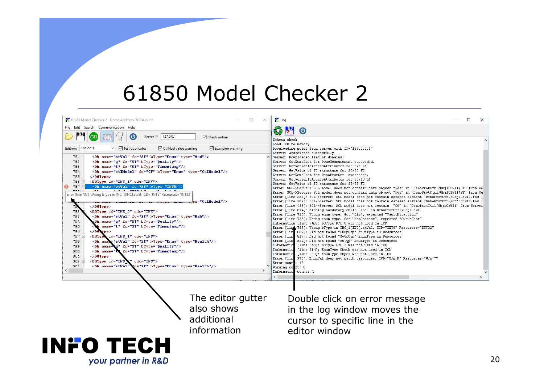#### 61850 Model Checker 2

| 61850 Model Checker 2 - Demo Addition DODA el.icd                                                                                                                                                                                                                                                                                                                                                                                                                                                                                                                                                                                                                                                                                                                                                                                                                                                                                                                                                                                                                                                                                                                                                                                                                                  | <b>PV</b> Log<br>巨<br>×                                                                                                                                                                   | $\Box$                                                                                                                                                                                                                                                                                                                                                                                                                                                                                                                                                                                                                                                                                                                                                                                                                                                                                                                                                                                                                                                                                                                                                                                                                                                                                                                                                                                                                                                                                                                                                                                                                                                                                                                                                                |
|------------------------------------------------------------------------------------------------------------------------------------------------------------------------------------------------------------------------------------------------------------------------------------------------------------------------------------------------------------------------------------------------------------------------------------------------------------------------------------------------------------------------------------------------------------------------------------------------------------------------------------------------------------------------------------------------------------------------------------------------------------------------------------------------------------------------------------------------------------------------------------------------------------------------------------------------------------------------------------------------------------------------------------------------------------------------------------------------------------------------------------------------------------------------------------------------------------------------------------------------------------------------------------|-------------------------------------------------------------------------------------------------------------------------------------------------------------------------------------------|-----------------------------------------------------------------------------------------------------------------------------------------------------------------------------------------------------------------------------------------------------------------------------------------------------------------------------------------------------------------------------------------------------------------------------------------------------------------------------------------------------------------------------------------------------------------------------------------------------------------------------------------------------------------------------------------------------------------------------------------------------------------------------------------------------------------------------------------------------------------------------------------------------------------------------------------------------------------------------------------------------------------------------------------------------------------------------------------------------------------------------------------------------------------------------------------------------------------------------------------------------------------------------------------------------------------------------------------------------------------------------------------------------------------------------------------------------------------------------------------------------------------------------------------------------------------------------------------------------------------------------------------------------------------------------------------------------------------------------------------------------------------------|
| File Edit Search Communication Help<br>127,0.0.1<br>Ό<br>Server IP<br>GO                                                                                                                                                                                                                                                                                                                                                                                                                                                                                                                                                                                                                                                                                                                                                                                                                                                                                                                                                                                                                                                                                                                                                                                                           | <b>M</b><br>$\left\langle \right\rangle$<br>$\circ$<br>$\triangledown$ Check online                                                                                                       |                                                                                                                                                                                                                                                                                                                                                                                                                                                                                                                                                                                                                                                                                                                                                                                                                                                                                                                                                                                                                                                                                                                                                                                                                                                                                                                                                                                                                                                                                                                                                                                                                                                                                                                                                                       |
| Edition: Edition 1<br>CtlMod value warning<br>$\vee$ Test duplicates                                                                                                                                                                                                                                                                                                                                                                                                                                                                                                                                                                                                                                                                                                                                                                                                                                                                                                                                                                                                                                                                                                                                                                                                               | Schema check<br>Load ICD to memory<br>$\vee$ Extension warning                                                                                                                            | Downloading model from server with IP="127.0.0.1"                                                                                                                                                                                                                                                                                                                                                                                                                                                                                                                                                                                                                                                                                                                                                                                                                                                                                                                                                                                                                                                                                                                                                                                                                                                                                                                                                                                                                                                                                                                                                                                                                                                                                                                     |
| 781<br><da btype="Enum" fc="ST" name="stVal" type="Mod"></da><br>782<br>$\langle$ DA name="q" fc="ST" bType="Quality"/><br>783<br><da btype="Timestamp" fc="ST" name="t"></da><br>784<br><da btype="Enum" fc="CF" name="ctlModel" type="CtlModel"></da><br>785<br>$\langle$ D0Type><br><dotype cdc="INC" id="INC 1"><br/>786 日<br/><da ,<br="" btype="INT8" fc="ST" name="stVal">787<br/>Error [line 787]: Wrong bType in INC_1[INC].stVal. ICD="INT8" Resources="INT32"<br/>79<br/><math>\langle /D0Type \rangle</math><br/>792<br/><dotype cdc="INS" id="INS 0"><br/>793<br/><da btype="Enum" fc="ST" name="stVal" type="Beh"></da><br/>794<br/><math>\beta</math>A name="q" fc="ST" bType="Quality"/&gt;<br/>795<br/><br/> A name="t" fc="ST" bType="Timestamp"/&gt;<br/><math>\langle</math>/D0 wpe&gt;<br/>796<br>797<br/><dotype cdc="INS" id="INS 1"><br/><da btype="Enum" fc="ST" name="stVal" type="Health"></da><br/>798<br/>799<br/><da name="&lt;br">Ma" fc="ST" bType="Quality"/&gt;<br/><da btype="Timestamp" name="t&lt;br&gt;800&lt;br&gt;&lt;math&gt;fc=" st"=""></da><br/><br/>801<br/>802<br/><dotype cdc="INS" id="INS Q"><br/><da <br="" name="stVal">'c="ST" bType="Enum" type="Health"/&gt;<br/>803</da></dotype></da></dotype></br></dotype></da></dotype> | be="CtlModel"/><br>Error [line<br>Error [line<br>Information<br>Information<br>Information<br>Error count: 13<br>Warning count: 0<br>Information count: 4<br>$\left\langle \right\rangle$ | Server: Associated sucessfully<br>Server: Downloaded list of domains:<br>Server: GetNameList for DemoMeasurement succeeded.<br>Server: GetVariableAccessAttributes for 5/5 LN<br>Server: GetValue of FC structure for 20/20 FC<br>Server: GetNameList for DemoProtCtrl succeeded.<br>Server: GetVariableAccessAttributes for 10/10 LN<br>Server: GetValue of FC structure for 38/38 FC<br>Error: SCL->Server: SCL model does not contain data object "Pos" in "DemoProtCtrl/ObjlCSWI1&CF" from Se<br>Error: SCL->Server: SCL model does not contain data object "Pos" in "DemoProtCtrl/ObjlCSWI1\$ST" from Se<br>Error [line 287]: SCL->Server: SCL model does not contain dataset element "DemoProtCtrl/Obj1CSWI1.Pos [<br>Error [line 287]: SCL->Server: SCL model does not contain dataset element "DemoProtCtrl/Obj3CSWI2.Pos [<br>Error [line 435]: SCL->Server: SCL model does not contain "CO" in "DemoProtCtrl/ObjlCSWIl" from Server<br>Error [line 614]: Missing mandatory child "Pos" in DemoProtCtrl/Obj1CSWI1<br>Error [line 716]: Wrong enum type. Got "dir", expected "FaultDirection"<br>Error [line 738]: Wrong enum type. Got "setCharact", expected "CurveChar"<br>Information [line 740]: DOType DPC 0 was not used in ICD<br>Error [lind 787]: Wrong bType in INC 1[INC].stVal. ICD="INT8" Resources="INT32"<br>Error [lin 809]: Did not found "CBOpCap" EnumType in Resources<br>819]: Did not found "Sw0pCap" EnumType in Resources<br>824]: Did not found "SwTyp" EnumType in Resources<br>[line 840]: DOType LPL 2 was not used in ICD<br>[line 914]: EnumType Check was not used in ICD<br>[line 920]: EnumType Dbpos was not used in ICD<br>Error [line 978]: EnumVal does not match resources. ICD="W/m K" Resources="W/m <sup>2</sup> "" |
|                                                                                                                                                                                                                                                                                                                                                                                                                                                                                                                                                                                                                                                                                                                                                                                                                                                                                                                                                                                                                                                                                                                                                                                                                                                                                    | The editor gutter<br>also shows<br>additional<br>information                                                                                                                              | Double click on error message<br>in the log window moves the<br>cursor to specific line in the<br>editor window                                                                                                                                                                                                                                                                                                                                                                                                                                                                                                                                                                                                                                                                                                                                                                                                                                                                                                                                                                                                                                                                                                                                                                                                                                                                                                                                                                                                                                                                                                                                                                                                                                                       |
| INFO TECH                                                                                                                                                                                                                                                                                                                                                                                                                                                                                                                                                                                                                                                                                                                                                                                                                                                                                                                                                                                                                                                                                                                                                                                                                                                                          |                                                                                                                                                                                           |                                                                                                                                                                                                                                                                                                                                                                                                                                                                                                                                                                                                                                                                                                                                                                                                                                                                                                                                                                                                                                                                                                                                                                                                                                                                                                                                                                                                                                                                                                                                                                                                                                                                                                                                                                       |
| your partner in R&D                                                                                                                                                                                                                                                                                                                                                                                                                                                                                                                                                                                                                                                                                                                                                                                                                                                                                                                                                                                                                                                                                                                                                                                                                                                                |                                                                                                                                                                                           |                                                                                                                                                                                                                                                                                                                                                                                                                                                                                                                                                                                                                                                                                                                                                                                                                                                                                                                                                                                                                                                                                                                                                                                                                                                                                                                                                                                                                                                                                                                                                                                                                                                                                                                                                                       |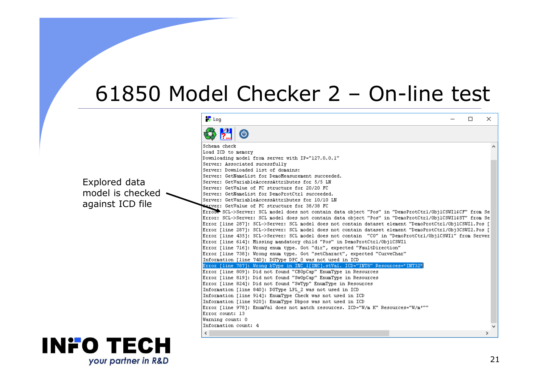#### 61850 Model Checker 2 – On-line test

Explored data model is checked  $\sim$ against ICD file

| Schema check<br>Load ICD to memory<br>Downloading model from server with IP="127.0.0.1"<br>Server: Associated sucessfully<br>Server: Downloaded list of domains:<br>Server: GetNameList for DemoMeasurement succeeded.<br>Server: GetVariableAccessAttributes for 5/5 LN<br>Server: GetValue of FC structure for 20/20 FC<br>Server: GetNameList for DemoProtCtrl succeeded.<br>Server: GetVariableAccessAttributes for 10/10 LN<br>Server: GetValue of FC structure for 38/38 FC<br>Error. SCL->Server: SCL model does not contain data object "Pos" in "DemoProtCtrl/ObjlCSWI14CF" from Se<br>Error: SCL->Server: SCL model does not contain data object "Pos" in "DemoProtCtrl/ObjlCSWI1&ST" from Se<br>Error [line 287]: SCL->Server: SCL model does not contain dataset element "DemoProtCtrl/ObjlCSWI1.Pos [<br>Error [line 287]: SCL->Server: SCL model does not contain dataset element "DemoProtCtrl/Obj3CSWI2.Pos [<br>Error [line 435]: SCL->Server: SCL model does not contain "CO" in "DemoProtCtrl/ObjlCSWIl" from Server<br>Error [line 614]: Missing mandatory child "Pos" in DemoProtCtrl/Obj1CSWI1 |  |
|----------------------------------------------------------------------------------------------------------------------------------------------------------------------------------------------------------------------------------------------------------------------------------------------------------------------------------------------------------------------------------------------------------------------------------------------------------------------------------------------------------------------------------------------------------------------------------------------------------------------------------------------------------------------------------------------------------------------------------------------------------------------------------------------------------------------------------------------------------------------------------------------------------------------------------------------------------------------------------------------------------------------------------------------------------------------------------------------------------------------|--|
|                                                                                                                                                                                                                                                                                                                                                                                                                                                                                                                                                                                                                                                                                                                                                                                                                                                                                                                                                                                                                                                                                                                      |  |
|                                                                                                                                                                                                                                                                                                                                                                                                                                                                                                                                                                                                                                                                                                                                                                                                                                                                                                                                                                                                                                                                                                                      |  |
|                                                                                                                                                                                                                                                                                                                                                                                                                                                                                                                                                                                                                                                                                                                                                                                                                                                                                                                                                                                                                                                                                                                      |  |
|                                                                                                                                                                                                                                                                                                                                                                                                                                                                                                                                                                                                                                                                                                                                                                                                                                                                                                                                                                                                                                                                                                                      |  |
|                                                                                                                                                                                                                                                                                                                                                                                                                                                                                                                                                                                                                                                                                                                                                                                                                                                                                                                                                                                                                                                                                                                      |  |
|                                                                                                                                                                                                                                                                                                                                                                                                                                                                                                                                                                                                                                                                                                                                                                                                                                                                                                                                                                                                                                                                                                                      |  |
|                                                                                                                                                                                                                                                                                                                                                                                                                                                                                                                                                                                                                                                                                                                                                                                                                                                                                                                                                                                                                                                                                                                      |  |
|                                                                                                                                                                                                                                                                                                                                                                                                                                                                                                                                                                                                                                                                                                                                                                                                                                                                                                                                                                                                                                                                                                                      |  |
|                                                                                                                                                                                                                                                                                                                                                                                                                                                                                                                                                                                                                                                                                                                                                                                                                                                                                                                                                                                                                                                                                                                      |  |
|                                                                                                                                                                                                                                                                                                                                                                                                                                                                                                                                                                                                                                                                                                                                                                                                                                                                                                                                                                                                                                                                                                                      |  |
|                                                                                                                                                                                                                                                                                                                                                                                                                                                                                                                                                                                                                                                                                                                                                                                                                                                                                                                                                                                                                                                                                                                      |  |
|                                                                                                                                                                                                                                                                                                                                                                                                                                                                                                                                                                                                                                                                                                                                                                                                                                                                                                                                                                                                                                                                                                                      |  |
|                                                                                                                                                                                                                                                                                                                                                                                                                                                                                                                                                                                                                                                                                                                                                                                                                                                                                                                                                                                                                                                                                                                      |  |
|                                                                                                                                                                                                                                                                                                                                                                                                                                                                                                                                                                                                                                                                                                                                                                                                                                                                                                                                                                                                                                                                                                                      |  |
|                                                                                                                                                                                                                                                                                                                                                                                                                                                                                                                                                                                                                                                                                                                                                                                                                                                                                                                                                                                                                                                                                                                      |  |
|                                                                                                                                                                                                                                                                                                                                                                                                                                                                                                                                                                                                                                                                                                                                                                                                                                                                                                                                                                                                                                                                                                                      |  |
|                                                                                                                                                                                                                                                                                                                                                                                                                                                                                                                                                                                                                                                                                                                                                                                                                                                                                                                                                                                                                                                                                                                      |  |
| Error [line 716]: Wrong enum type. Got "dir", expected "FaultDirection"                                                                                                                                                                                                                                                                                                                                                                                                                                                                                                                                                                                                                                                                                                                                                                                                                                                                                                                                                                                                                                              |  |
| Error [line 738]: Wrong enum type. Got "setCharact", expected "CurveChar"                                                                                                                                                                                                                                                                                                                                                                                                                                                                                                                                                                                                                                                                                                                                                                                                                                                                                                                                                                                                                                            |  |
| Information [line 740]: DOType DPC 0 was not used in ICD                                                                                                                                                                                                                                                                                                                                                                                                                                                                                                                                                                                                                                                                                                                                                                                                                                                                                                                                                                                                                                                             |  |
| Error [line 787]: Wrong bType in INC 1[INC].stVal. ICD="INT8" Resources="INT32"                                                                                                                                                                                                                                                                                                                                                                                                                                                                                                                                                                                                                                                                                                                                                                                                                                                                                                                                                                                                                                      |  |
| Error [line 809]: Did not found "CBOpCap" EnumType in Resources                                                                                                                                                                                                                                                                                                                                                                                                                                                                                                                                                                                                                                                                                                                                                                                                                                                                                                                                                                                                                                                      |  |
| Error [line 819]: Did not found "SwOpCap" EnumType in Resources                                                                                                                                                                                                                                                                                                                                                                                                                                                                                                                                                                                                                                                                                                                                                                                                                                                                                                                                                                                                                                                      |  |
| Error [line 824]: Did not found "SwTyp" EnumType in Resources                                                                                                                                                                                                                                                                                                                                                                                                                                                                                                                                                                                                                                                                                                                                                                                                                                                                                                                                                                                                                                                        |  |
| Information [line 840]: DOType LPL 2 was not used in ICD                                                                                                                                                                                                                                                                                                                                                                                                                                                                                                                                                                                                                                                                                                                                                                                                                                                                                                                                                                                                                                                             |  |
| Information [line 914]: EnumType Check was not used in ICD                                                                                                                                                                                                                                                                                                                                                                                                                                                                                                                                                                                                                                                                                                                                                                                                                                                                                                                                                                                                                                                           |  |
| Information [line 920]: EnumType Dbpos was not used in ICD                                                                                                                                                                                                                                                                                                                                                                                                                                                                                                                                                                                                                                                                                                                                                                                                                                                                                                                                                                                                                                                           |  |
| Error [line 978]: EnumVal does not match resources. ICD="W/m K" Resources="W/m <sup>2</sup> ""                                                                                                                                                                                                                                                                                                                                                                                                                                                                                                                                                                                                                                                                                                                                                                                                                                                                                                                                                                                                                       |  |
| Error count: 13                                                                                                                                                                                                                                                                                                                                                                                                                                                                                                                                                                                                                                                                                                                                                                                                                                                                                                                                                                                                                                                                                                      |  |
| Warning count: 0                                                                                                                                                                                                                                                                                                                                                                                                                                                                                                                                                                                                                                                                                                                                                                                                                                                                                                                                                                                                                                                                                                     |  |
| Information count: 4                                                                                                                                                                                                                                                                                                                                                                                                                                                                                                                                                                                                                                                                                                                                                                                                                                                                                                                                                                                                                                                                                                 |  |